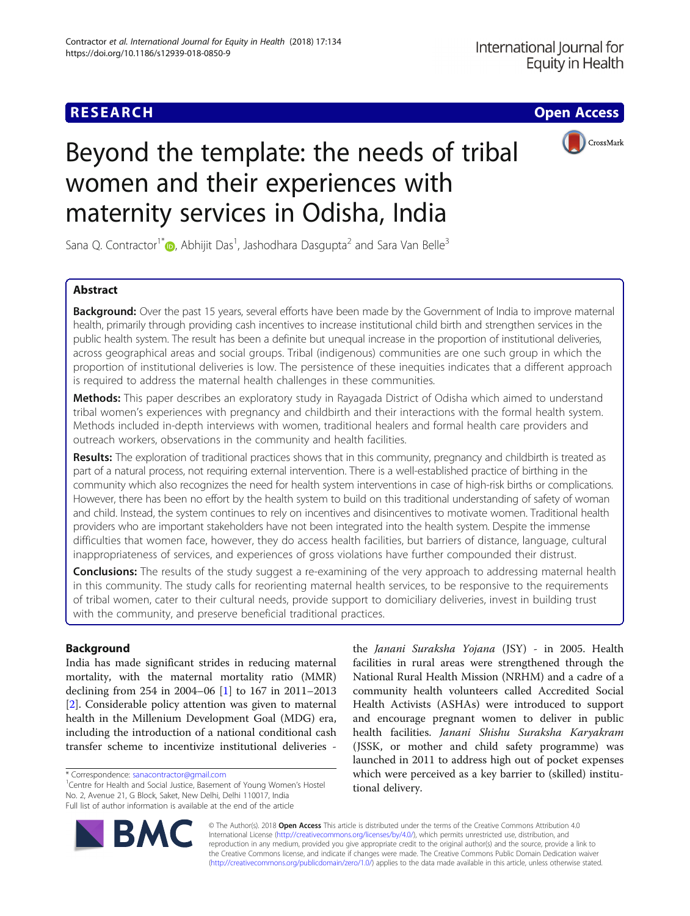# **RESEARCH CHE Open Access**



# Beyond the template: the needs of tribal women and their experiences with maternity services in Odisha, India

Sana Q. Contractor<sup>1[\\*](http://orcid.org/0000-0003-2251-6131)</sup> $\textsf{O}$ , Abhijit Das<sup>1</sup>, Jashodhara Dasgupta<sup>2</sup> and Sara Van Belle<sup>3</sup>

# Abstract

Background: Over the past 15 years, several efforts have been made by the Government of India to improve maternal health, primarily through providing cash incentives to increase institutional child birth and strengthen services in the public health system. The result has been a definite but unequal increase in the proportion of institutional deliveries, across geographical areas and social groups. Tribal (indigenous) communities are one such group in which the proportion of institutional deliveries is low. The persistence of these inequities indicates that a different approach is required to address the maternal health challenges in these communities.

Methods: This paper describes an exploratory study in Rayagada District of Odisha which aimed to understand tribal women's experiences with pregnancy and childbirth and their interactions with the formal health system. Methods included in-depth interviews with women, traditional healers and formal health care providers and outreach workers, observations in the community and health facilities.

Results: The exploration of traditional practices shows that in this community, pregnancy and childbirth is treated as part of a natural process, not requiring external intervention. There is a well-established practice of birthing in the community which also recognizes the need for health system interventions in case of high-risk births or complications. However, there has been no effort by the health system to build on this traditional understanding of safety of woman and child. Instead, the system continues to rely on incentives and disincentives to motivate women. Traditional health providers who are important stakeholders have not been integrated into the health system. Despite the immense difficulties that women face, however, they do access health facilities, but barriers of distance, language, cultural inappropriateness of services, and experiences of gross violations have further compounded their distrust.

**Conclusions:** The results of the study suggest a re-examining of the very approach to addressing maternal health in this community. The study calls for reorienting maternal health services, to be responsive to the requirements of tribal women, cater to their cultural needs, provide support to domiciliary deliveries, invest in building trust with the community, and preserve beneficial traditional practices.

# Background

India has made significant strides in reducing maternal mortality, with the maternal mortality ratio (MMR) declining from 254 in 2004–06 [\[1](#page-11-0)] to 167 in 2011–2013 [[2\]](#page-11-0). Considerable policy attention was given to maternal health in the Millenium Development Goal (MDG) era, including the introduction of a national conditional cash transfer scheme to incentivize institutional deliveries -

the Janani Suraksha Yojana (JSY) - in 2005. Health facilities in rural areas were strengthened through the National Rural Health Mission (NRHM) and a cadre of a community health volunteers called Accredited Social Health Activists (ASHAs) were introduced to support and encourage pregnant women to deliver in public health facilities. Janani Shishu Suraksha Karyakram (JSSK, or mother and child safety programme) was launched in 2011 to address high out of pocket expenses which were perceived as a key barrier to (skilled) institutional delivery.



© The Author(s). 2018 Open Access This article is distributed under the terms of the Creative Commons Attribution 4.0 International License [\(http://creativecommons.org/licenses/by/4.0/](http://creativecommons.org/licenses/by/4.0/)), which permits unrestricted use, distribution, and reproduction in any medium, provided you give appropriate credit to the original author(s) and the source, provide a link to the Creative Commons license, and indicate if changes were made. The Creative Commons Public Domain Dedication waiver [\(http://creativecommons.org/publicdomain/zero/1.0/](http://creativecommons.org/publicdomain/zero/1.0/)) applies to the data made available in this article, unless otherwise stated.

<sup>\*</sup> Correspondence: [sanacontractor@gmail.com](mailto:sanacontractor@gmail.com) <sup>1</sup>

<sup>&</sup>lt;sup>1</sup>Centre for Health and Social Justice, Basement of Young Women's Hostel No. 2, Avenue 21, G Block, Saket, New Delhi, Delhi 110017, India Full list of author information is available at the end of the article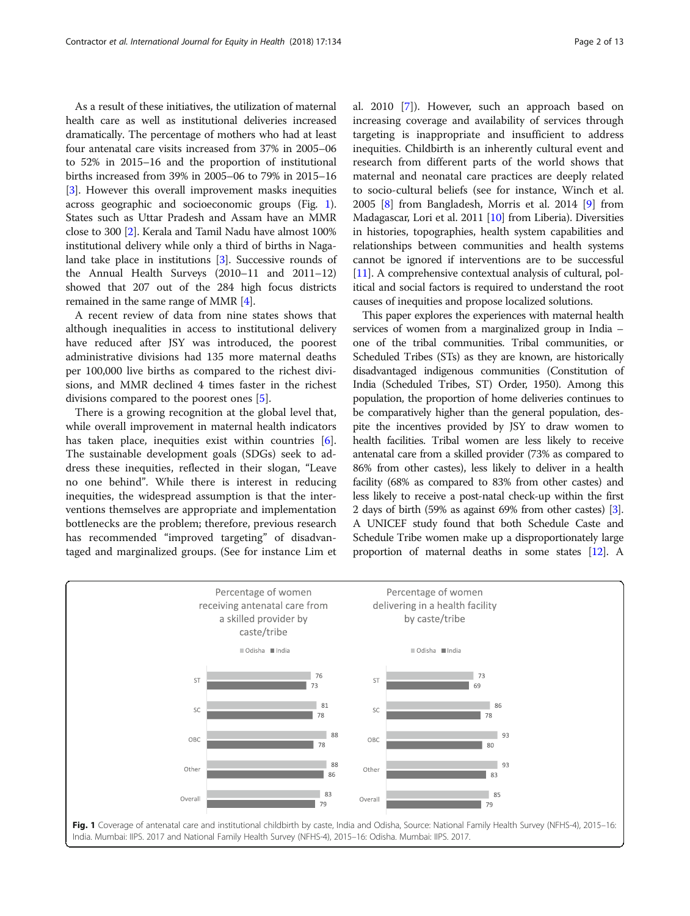As a result of these initiatives, the utilization of maternal health care as well as institutional deliveries increased dramatically. The percentage of mothers who had at least four antenatal care visits increased from 37% in 2005–06 to 52% in 2015–16 and the proportion of institutional births increased from 39% in 2005–06 to 79% in 2015–16 [[3\]](#page-11-0). However this overall improvement masks inequities across geographic and socioeconomic groups (Fig. 1). States such as Uttar Pradesh and Assam have an MMR close to 300 [\[2](#page-11-0)]. Kerala and Tamil Nadu have almost 100% institutional delivery while only a third of births in Nagaland take place in institutions [\[3](#page-11-0)]. Successive rounds of the Annual Health Surveys (2010–11 and 2011–12) showed that 207 out of the 284 high focus districts remained in the same range of MMR [[4](#page-11-0)].

A recent review of data from nine states shows that although inequalities in access to institutional delivery have reduced after JSY was introduced, the poorest administrative divisions had 135 more maternal deaths per 100,000 live births as compared to the richest divisions, and MMR declined 4 times faster in the richest divisions compared to the poorest ones [[5\]](#page-11-0).

There is a growing recognition at the global level that, while overall improvement in maternal health indicators has taken place, inequities exist within countries [\[6](#page-12-0)]. The sustainable development goals (SDGs) seek to address these inequities, reflected in their slogan, "Leave no one behind". While there is interest in reducing inequities, the widespread assumption is that the interventions themselves are appropriate and implementation bottlenecks are the problem; therefore, previous research has recommended "improved targeting" of disadvantaged and marginalized groups. (See for instance Lim et al. 2010 [\[7](#page-12-0)]). However, such an approach based on increasing coverage and availability of services through targeting is inappropriate and insufficient to address inequities. Childbirth is an inherently cultural event and research from different parts of the world shows that maternal and neonatal care practices are deeply related to socio-cultural beliefs (see for instance, Winch et al. 2005 [[8\]](#page-12-0) from Bangladesh, Morris et al. 2014 [\[9](#page-12-0)] from Madagascar, Lori et al. 2011 [\[10\]](#page-12-0) from Liberia). Diversities in histories, topographies, health system capabilities and relationships between communities and health systems cannot be ignored if interventions are to be successful [[11](#page-12-0)]. A comprehensive contextual analysis of cultural, political and social factors is required to understand the root causes of inequities and propose localized solutions.

This paper explores the experiences with maternal health services of women from a marginalized group in India – one of the tribal communities. Tribal communities, or Scheduled Tribes (STs) as they are known, are historically disadvantaged indigenous communities (Constitution of India (Scheduled Tribes, ST) Order, 1950). Among this population, the proportion of home deliveries continues to be comparatively higher than the general population, despite the incentives provided by JSY to draw women to health facilities. Tribal women are less likely to receive antenatal care from a skilled provider (73% as compared to 86% from other castes), less likely to deliver in a health facility (68% as compared to 83% from other castes) and less likely to receive a post-natal check-up within the first 2 days of birth (59% as against 69% from other castes) [[3](#page-11-0)]. A UNICEF study found that both Schedule Caste and Schedule Tribe women make up a disproportionately large proportion of maternal deaths in some states [\[12](#page-12-0)]. A

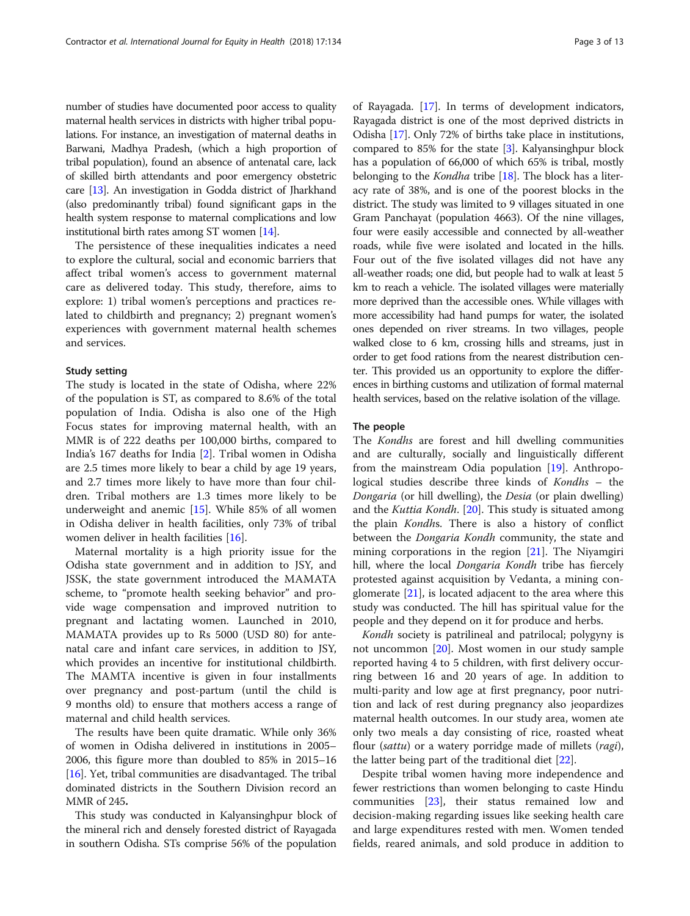number of studies have documented poor access to quality maternal health services in districts with higher tribal populations. For instance, an investigation of maternal deaths in Barwani, Madhya Pradesh, (which a high proportion of tribal population), found an absence of antenatal care, lack of skilled birth attendants and poor emergency obstetric care [[13](#page-12-0)]. An investigation in Godda district of Jharkhand (also predominantly tribal) found significant gaps in the health system response to maternal complications and low institutional birth rates among ST women [[14](#page-12-0)].

The persistence of these inequalities indicates a need to explore the cultural, social and economic barriers that affect tribal women's access to government maternal care as delivered today. This study, therefore, aims to explore: 1) tribal women's perceptions and practices related to childbirth and pregnancy; 2) pregnant women's experiences with government maternal health schemes and services.

# Study setting

The study is located in the state of Odisha, where 22% of the population is ST, as compared to 8.6% of the total population of India. Odisha is also one of the High Focus states for improving maternal health, with an MMR is of 222 deaths per 100,000 births, compared to India's 167 deaths for India [\[2](#page-11-0)]. Tribal women in Odisha are 2.5 times more likely to bear a child by age 19 years, and 2.7 times more likely to have more than four children. Tribal mothers are 1.3 times more likely to be underweight and anemic [[15\]](#page-12-0). While 85% of all women in Odisha deliver in health facilities, only 73% of tribal women deliver in health facilities [\[16](#page-12-0)].

Maternal mortality is a high priority issue for the Odisha state government and in addition to JSY, and JSSK, the state government introduced the MAMATA scheme, to "promote health seeking behavior" and provide wage compensation and improved nutrition to pregnant and lactating women. Launched in 2010, MAMATA provides up to Rs 5000 (USD 80) for antenatal care and infant care services, in addition to JSY, which provides an incentive for institutional childbirth. The MAMTA incentive is given in four installments over pregnancy and post-partum (until the child is 9 months old) to ensure that mothers access a range of maternal and child health services.

The results have been quite dramatic. While only 36% of women in Odisha delivered in institutions in 2005– 2006, this figure more than doubled to 85% in 2015–16 [[16](#page-12-0)]. Yet, tribal communities are disadvantaged. The tribal dominated districts in the Southern Division record an MMR of 245.

This study was conducted in Kalyansinghpur block of the mineral rich and densely forested district of Rayagada in southern Odisha. STs comprise 56% of the population of Rayagada. [\[17](#page-12-0)]. In terms of development indicators, Rayagada district is one of the most deprived districts in Odisha [\[17](#page-12-0)]. Only 72% of births take place in institutions, compared to 85% for the state [\[3\]](#page-11-0). Kalyansinghpur block has a population of 66,000 of which 65% is tribal, mostly belonging to the *Kondha* tribe [[18](#page-12-0)]. The block has a literacy rate of 38%, and is one of the poorest blocks in the district. The study was limited to 9 villages situated in one Gram Panchayat (population 4663). Of the nine villages, four were easily accessible and connected by all-weather roads, while five were isolated and located in the hills. Four out of the five isolated villages did not have any all-weather roads; one did, but people had to walk at least 5 km to reach a vehicle. The isolated villages were materially more deprived than the accessible ones. While villages with more accessibility had hand pumps for water, the isolated ones depended on river streams. In two villages, people walked close to 6 km, crossing hills and streams, just in order to get food rations from the nearest distribution center. This provided us an opportunity to explore the differences in birthing customs and utilization of formal maternal health services, based on the relative isolation of the village.

# The people

The Kondhs are forest and hill dwelling communities and are culturally, socially and linguistically different from the mainstream Odia population [\[19](#page-12-0)]. Anthropological studies describe three kinds of Kondhs – the Dongaria (or hill dwelling), the Desia (or plain dwelling) and the Kuttia Kondh. [[20](#page-12-0)]. This study is situated among the plain Kondhs. There is also a history of conflict between the *Dongaria Kondh* community, the state and mining corporations in the region [[21\]](#page-12-0). The Niyamgiri hill, where the local *Dongaria Kondh* tribe has fiercely protested against acquisition by Vedanta, a mining conglomerate [[21](#page-12-0)], is located adjacent to the area where this study was conducted. The hill has spiritual value for the people and they depend on it for produce and herbs.

Kondh society is patrilineal and patrilocal; polygyny is not uncommon [\[20](#page-12-0)]. Most women in our study sample reported having 4 to 5 children, with first delivery occurring between 16 and 20 years of age. In addition to multi-parity and low age at first pregnancy, poor nutrition and lack of rest during pregnancy also jeopardizes maternal health outcomes. In our study area, women ate only two meals a day consisting of rice, roasted wheat flour (*sattu*) or a watery porridge made of millets (*ragi*), the latter being part of the traditional diet [[22\]](#page-12-0).

Despite tribal women having more independence and fewer restrictions than women belonging to caste Hindu communities [[23](#page-12-0)], their status remained low and decision-making regarding issues like seeking health care and large expenditures rested with men. Women tended fields, reared animals, and sold produce in addition to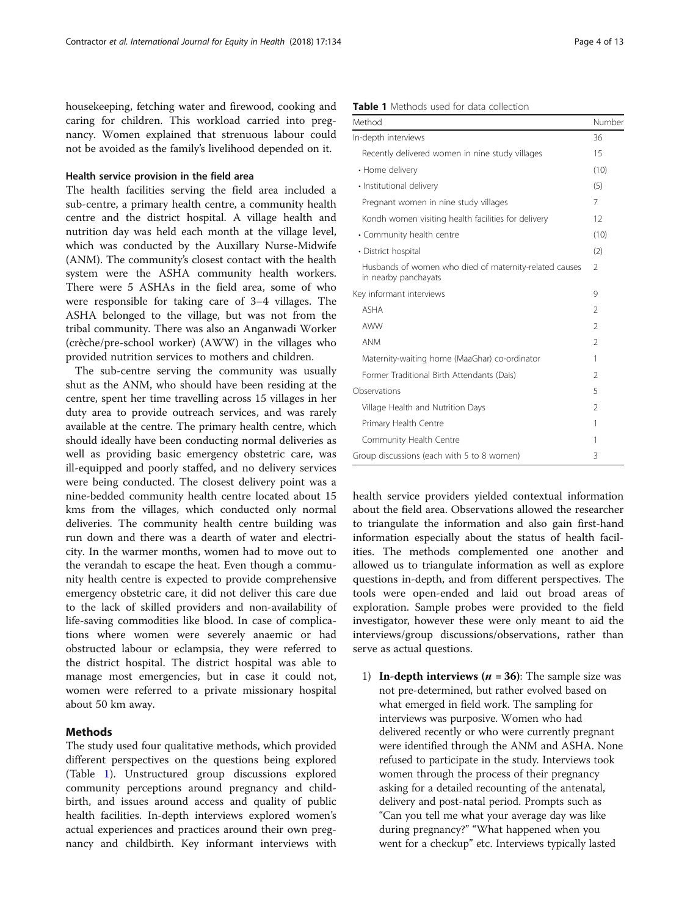housekeeping, fetching water and firewood, cooking and caring for children. This workload carried into pregnancy. Women explained that strenuous labour could not be avoided as the family's livelihood depended on it.

# Health service provision in the field area

The health facilities serving the field area included a sub-centre, a primary health centre, a community health centre and the district hospital. A village health and nutrition day was held each month at the village level, which was conducted by the Auxillary Nurse-Midwife (ANM). The community's closest contact with the health system were the ASHA community health workers. There were 5 ASHAs in the field area, some of who were responsible for taking care of 3–4 villages. The ASHA belonged to the village, but was not from the tribal community. There was also an Anganwadi Worker (crèche/pre-school worker) (AWW) in the villages who provided nutrition services to mothers and children.

The sub-centre serving the community was usually shut as the ANM, who should have been residing at the centre, spent her time travelling across 15 villages in her duty area to provide outreach services, and was rarely available at the centre. The primary health centre, which should ideally have been conducting normal deliveries as well as providing basic emergency obstetric care, was ill-equipped and poorly staffed, and no delivery services were being conducted. The closest delivery point was a nine-bedded community health centre located about 15 kms from the villages, which conducted only normal deliveries. The community health centre building was run down and there was a dearth of water and electricity. In the warmer months, women had to move out to the verandah to escape the heat. Even though a community health centre is expected to provide comprehensive emergency obstetric care, it did not deliver this care due to the lack of skilled providers and non-availability of life-saving commodities like blood. In case of complications where women were severely anaemic or had obstructed labour or eclampsia, they were referred to the district hospital. The district hospital was able to manage most emergencies, but in case it could not, women were referred to a private missionary hospital about 50 km away.

# Methods

The study used four qualitative methods, which provided different perspectives on the questions being explored (Table 1). Unstructured group discussions explored community perceptions around pregnancy and childbirth, and issues around access and quality of public health facilities. In-depth interviews explored women's actual experiences and practices around their own pregnancy and childbirth. Key informant interviews with

| <b>Table 1</b> Methods used for data collection |
|-------------------------------------------------|
|-------------------------------------------------|

| Method                                                                         | Number         |
|--------------------------------------------------------------------------------|----------------|
| In-depth interviews                                                            | 36             |
| Recently delivered women in nine study villages                                | 15             |
| • Home delivery                                                                | (10)           |
| · Institutional delivery                                                       | (5)            |
| Pregnant women in nine study villages                                          | 7              |
| Kondh women visiting health facilities for delivery                            | 12             |
| • Community health centre                                                      | (10)           |
| • District hospital                                                            | (2)            |
| Husbands of women who died of maternity-related causes<br>in nearby panchayats | $\mathcal{P}$  |
| Key informant interviews                                                       | 9              |
| <b>ASHA</b>                                                                    | $\mathfrak{D}$ |
| AWW                                                                            | $\mathfrak{D}$ |
| <b>ANM</b>                                                                     | $\mathfrak{D}$ |
| Maternity-waiting home (MaaGhar) co-ordinator                                  | 1              |
| Former Traditional Birth Attendants (Dais)                                     | $\mathfrak{D}$ |
| Observations                                                                   | 5              |
| Village Health and Nutrition Days                                              | $\mathfrak{D}$ |
| Primary Health Centre                                                          | 1              |
| Community Health Centre                                                        | 1              |
| Group discussions (each with 5 to 8 women)                                     | 3              |

health service providers yielded contextual information about the field area. Observations allowed the researcher to triangulate the information and also gain first-hand information especially about the status of health facilities. The methods complemented one another and allowed us to triangulate information as well as explore questions in-depth, and from different perspectives. The tools were open-ended and laid out broad areas of exploration. Sample probes were provided to the field investigator, however these were only meant to aid the interviews/group discussions/observations, rather than serve as actual questions.

1) In-depth interviews ( $n = 36$ ): The sample size was not pre-determined, but rather evolved based on what emerged in field work. The sampling for interviews was purposive. Women who had delivered recently or who were currently pregnant were identified through the ANM and ASHA. None refused to participate in the study. Interviews took women through the process of their pregnancy asking for a detailed recounting of the antenatal, delivery and post-natal period. Prompts such as "Can you tell me what your average day was like during pregnancy?" "What happened when you went for a checkup" etc. Interviews typically lasted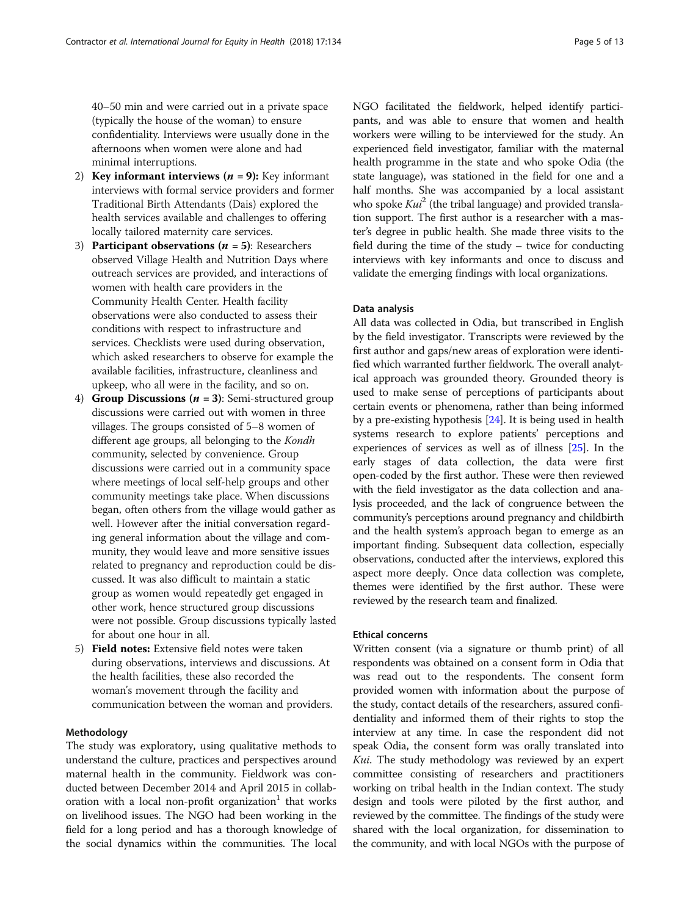40–50 min and were carried out in a private space (typically the house of the woman) to ensure confidentiality. Interviews were usually done in the afternoons when women were alone and had minimal interruptions.

- 2) Key informant interviews  $(n = 9)$ : Key informant interviews with formal service providers and former Traditional Birth Attendants (Dais) explored the health services available and challenges to offering locally tailored maternity care services.
- 3) Participant observations ( $n = 5$ ): Researchers observed Village Health and Nutrition Days where outreach services are provided, and interactions of women with health care providers in the Community Health Center. Health facility observations were also conducted to assess their conditions with respect to infrastructure and services. Checklists were used during observation, which asked researchers to observe for example the available facilities, infrastructure, cleanliness and upkeep, who all were in the facility, and so on.
- 4) Group Discussions  $(n = 3)$ : Semi-structured group discussions were carried out with women in three villages. The groups consisted of 5–8 women of different age groups, all belonging to the Kondh community, selected by convenience. Group discussions were carried out in a community space where meetings of local self-help groups and other community meetings take place. When discussions began, often others from the village would gather as well. However after the initial conversation regarding general information about the village and community, they would leave and more sensitive issues related to pregnancy and reproduction could be discussed. It was also difficult to maintain a static group as women would repeatedly get engaged in other work, hence structured group discussions were not possible. Group discussions typically lasted for about one hour in all.
- 5) Field notes: Extensive field notes were taken during observations, interviews and discussions. At the health facilities, these also recorded the woman's movement through the facility and communication between the woman and providers.

# Methodology

The study was exploratory, using qualitative methods to understand the culture, practices and perspectives around maternal health in the community. Fieldwork was conducted between December 2014 and April 2015 in collaboration with a local non-profit organization<sup>1</sup> that works on livelihood issues. The NGO had been working in the field for a long period and has a thorough knowledge of the social dynamics within the communities. The local

NGO facilitated the fieldwork, helped identify participants, and was able to ensure that women and health workers were willing to be interviewed for the study. An experienced field investigator, familiar with the maternal health programme in the state and who spoke Odia (the state language), was stationed in the field for one and a half months. She was accompanied by a local assistant who spoke  $Kui<sup>2</sup>$  (the tribal language) and provided translation support. The first author is a researcher with a master's degree in public health. She made three visits to the field during the time of the study – twice for conducting interviews with key informants and once to discuss and validate the emerging findings with local organizations.

# Data analysis

All data was collected in Odia, but transcribed in English by the field investigator. Transcripts were reviewed by the first author and gaps/new areas of exploration were identified which warranted further fieldwork. The overall analytical approach was grounded theory. Grounded theory is used to make sense of perceptions of participants about certain events or phenomena, rather than being informed by a pre-existing hypothesis [\[24\]](#page-12-0). It is being used in health systems research to explore patients' perceptions and experiences of services as well as of illness [[25](#page-12-0)]. In the early stages of data collection, the data were first open-coded by the first author. These were then reviewed with the field investigator as the data collection and analysis proceeded, and the lack of congruence between the community's perceptions around pregnancy and childbirth and the health system's approach began to emerge as an important finding. Subsequent data collection, especially observations, conducted after the interviews, explored this aspect more deeply. Once data collection was complete, themes were identified by the first author. These were reviewed by the research team and finalized.

# Ethical concerns

Written consent (via a signature or thumb print) of all respondents was obtained on a consent form in Odia that was read out to the respondents. The consent form provided women with information about the purpose of the study, contact details of the researchers, assured confidentiality and informed them of their rights to stop the interview at any time. In case the respondent did not speak Odia, the consent form was orally translated into Kui. The study methodology was reviewed by an expert committee consisting of researchers and practitioners working on tribal health in the Indian context. The study design and tools were piloted by the first author, and reviewed by the committee. The findings of the study were shared with the local organization, for dissemination to the community, and with local NGOs with the purpose of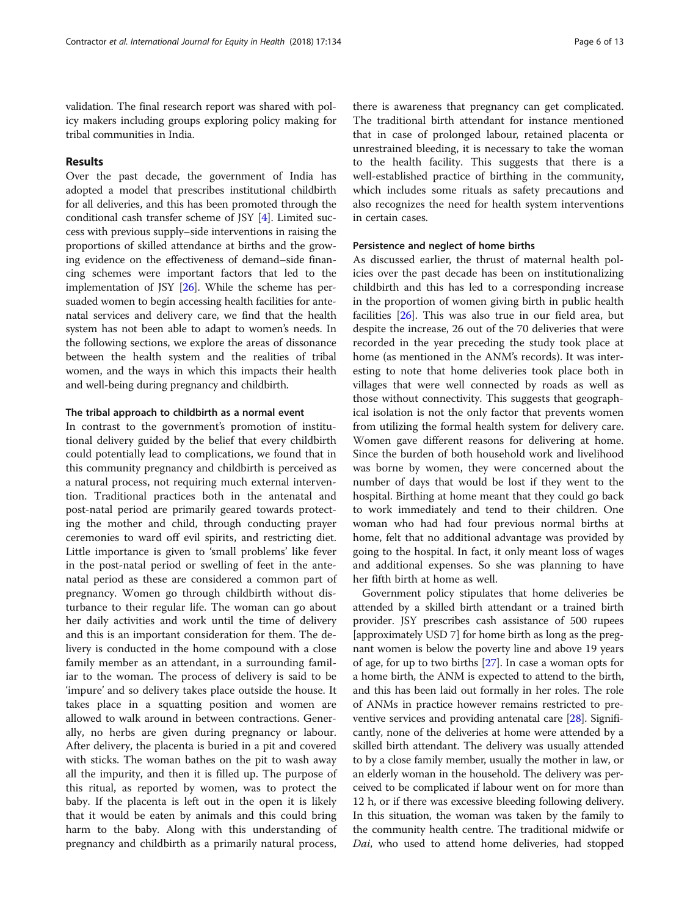validation. The final research report was shared with policy makers including groups exploring policy making for tribal communities in India.

# Results

Over the past decade, the government of India has adopted a model that prescribes institutional childbirth for all deliveries, and this has been promoted through the conditional cash transfer scheme of JSY [[4\]](#page-11-0). Limited success with previous supply–side interventions in raising the proportions of skilled attendance at births and the growing evidence on the effectiveness of demand–side financing schemes were important factors that led to the implementation of JSY [[26](#page-12-0)]. While the scheme has persuaded women to begin accessing health facilities for antenatal services and delivery care, we find that the health system has not been able to adapt to women's needs. In the following sections, we explore the areas of dissonance between the health system and the realities of tribal women, and the ways in which this impacts their health and well-being during pregnancy and childbirth.

# The tribal approach to childbirth as a normal event

In contrast to the government's promotion of institutional delivery guided by the belief that every childbirth could potentially lead to complications, we found that in this community pregnancy and childbirth is perceived as a natural process, not requiring much external intervention. Traditional practices both in the antenatal and post-natal period are primarily geared towards protecting the mother and child, through conducting prayer ceremonies to ward off evil spirits, and restricting diet. Little importance is given to 'small problems' like fever in the post-natal period or swelling of feet in the antenatal period as these are considered a common part of pregnancy. Women go through childbirth without disturbance to their regular life. The woman can go about her daily activities and work until the time of delivery and this is an important consideration for them. The delivery is conducted in the home compound with a close family member as an attendant, in a surrounding familiar to the woman. The process of delivery is said to be 'impure' and so delivery takes place outside the house. It takes place in a squatting position and women are allowed to walk around in between contractions. Generally, no herbs are given during pregnancy or labour. After delivery, the placenta is buried in a pit and covered with sticks. The woman bathes on the pit to wash away all the impurity, and then it is filled up. The purpose of this ritual, as reported by women, was to protect the baby. If the placenta is left out in the open it is likely that it would be eaten by animals and this could bring harm to the baby. Along with this understanding of pregnancy and childbirth as a primarily natural process,

there is awareness that pregnancy can get complicated. The traditional birth attendant for instance mentioned that in case of prolonged labour, retained placenta or unrestrained bleeding, it is necessary to take the woman to the health facility. This suggests that there is a well-established practice of birthing in the community, which includes some rituals as safety precautions and also recognizes the need for health system interventions in certain cases.

# Persistence and neglect of home births

As discussed earlier, the thrust of maternal health policies over the past decade has been on institutionalizing childbirth and this has led to a corresponding increase in the proportion of women giving birth in public health facilities [[26](#page-12-0)]. This was also true in our field area, but despite the increase, 26 out of the 70 deliveries that were recorded in the year preceding the study took place at home (as mentioned in the ANM's records). It was interesting to note that home deliveries took place both in villages that were well connected by roads as well as those without connectivity. This suggests that geographical isolation is not the only factor that prevents women from utilizing the formal health system for delivery care. Women gave different reasons for delivering at home. Since the burden of both household work and livelihood was borne by women, they were concerned about the number of days that would be lost if they went to the hospital. Birthing at home meant that they could go back to work immediately and tend to their children. One woman who had had four previous normal births at home, felt that no additional advantage was provided by going to the hospital. In fact, it only meant loss of wages and additional expenses. So she was planning to have her fifth birth at home as well.

Government policy stipulates that home deliveries be attended by a skilled birth attendant or a trained birth provider. JSY prescribes cash assistance of 500 rupees [approximately USD 7] for home birth as long as the pregnant women is below the poverty line and above 19 years of age, for up to two births [[27\]](#page-12-0). In case a woman opts for a home birth, the ANM is expected to attend to the birth, and this has been laid out formally in her roles. The role of ANMs in practice however remains restricted to preventive services and providing antenatal care [\[28\]](#page-12-0). Significantly, none of the deliveries at home were attended by a skilled birth attendant. The delivery was usually attended to by a close family member, usually the mother in law, or an elderly woman in the household. The delivery was perceived to be complicated if labour went on for more than 12 h, or if there was excessive bleeding following delivery. In this situation, the woman was taken by the family to the community health centre. The traditional midwife or Dai, who used to attend home deliveries, had stopped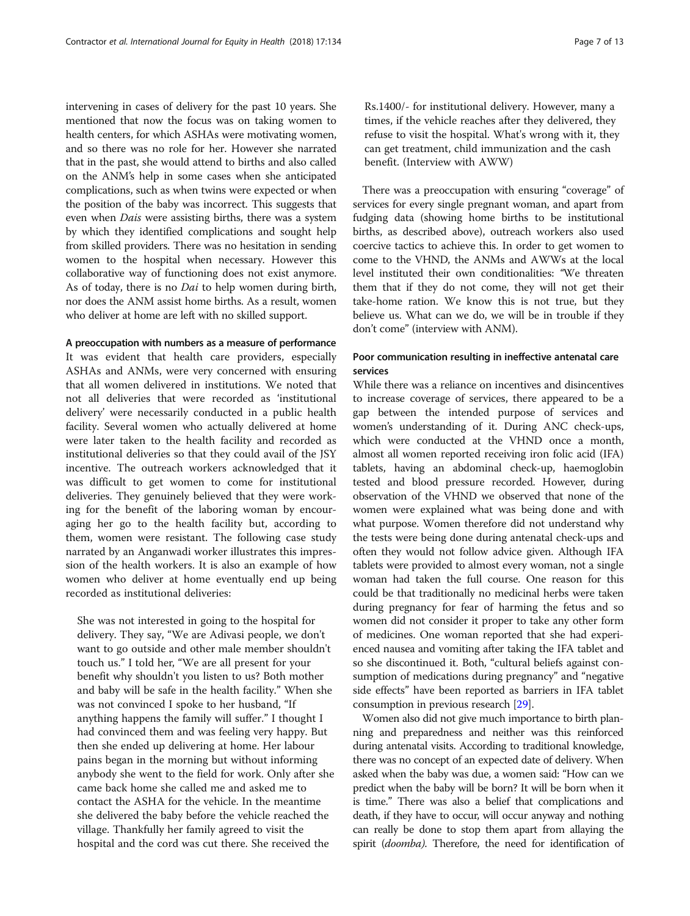intervening in cases of delivery for the past 10 years. She mentioned that now the focus was on taking women to health centers, for which ASHAs were motivating women, and so there was no role for her. However she narrated that in the past, she would attend to births and also called on the ANM's help in some cases when she anticipated complications, such as when twins were expected or when the position of the baby was incorrect. This suggests that even when *Dais* were assisting births, there was a system by which they identified complications and sought help from skilled providers. There was no hesitation in sending women to the hospital when necessary. However this collaborative way of functioning does not exist anymore. As of today, there is no Dai to help women during birth, nor does the ANM assist home births. As a result, women who deliver at home are left with no skilled support.

#### A preoccupation with numbers as a measure of performance

It was evident that health care providers, especially ASHAs and ANMs, were very concerned with ensuring that all women delivered in institutions. We noted that not all deliveries that were recorded as 'institutional delivery' were necessarily conducted in a public health facility. Several women who actually delivered at home were later taken to the health facility and recorded as institutional deliveries so that they could avail of the JSY incentive. The outreach workers acknowledged that it was difficult to get women to come for institutional deliveries. They genuinely believed that they were working for the benefit of the laboring woman by encouraging her go to the health facility but, according to them, women were resistant. The following case study narrated by an Anganwadi worker illustrates this impression of the health workers. It is also an example of how women who deliver at home eventually end up being recorded as institutional deliveries:

She was not interested in going to the hospital for delivery. They say, "We are Adivasi people, we don't want to go outside and other male member shouldn't touch us." I told her, "We are all present for your benefit why shouldn't you listen to us? Both mother and baby will be safe in the health facility." When she was not convinced I spoke to her husband, "If anything happens the family will suffer." I thought I had convinced them and was feeling very happy. But then she ended up delivering at home. Her labour pains began in the morning but without informing anybody she went to the field for work. Only after she came back home she called me and asked me to contact the ASHA for the vehicle. In the meantime she delivered the baby before the vehicle reached the village. Thankfully her family agreed to visit the hospital and the cord was cut there. She received the

Rs.1400/- for institutional delivery. However, many a times, if the vehicle reaches after they delivered, they refuse to visit the hospital. What's wrong with it, they can get treatment, child immunization and the cash benefit. (Interview with AWW)

There was a preoccupation with ensuring "coverage" of services for every single pregnant woman, and apart from fudging data (showing home births to be institutional births, as described above), outreach workers also used coercive tactics to achieve this. In order to get women to come to the VHND, the ANMs and AWWs at the local level instituted their own conditionalities: "We threaten them that if they do not come, they will not get their take-home ration. We know this is not true, but they believe us. What can we do, we will be in trouble if they don't come" (interview with ANM).

# Poor communication resulting in ineffective antenatal care services

While there was a reliance on incentives and disincentives to increase coverage of services, there appeared to be a gap between the intended purpose of services and women's understanding of it. During ANC check-ups, which were conducted at the VHND once a month, almost all women reported receiving iron folic acid (IFA) tablets, having an abdominal check-up, haemoglobin tested and blood pressure recorded. However, during observation of the VHND we observed that none of the women were explained what was being done and with what purpose. Women therefore did not understand why the tests were being done during antenatal check-ups and often they would not follow advice given. Although IFA tablets were provided to almost every woman, not a single woman had taken the full course. One reason for this could be that traditionally no medicinal herbs were taken during pregnancy for fear of harming the fetus and so women did not consider it proper to take any other form of medicines. One woman reported that she had experienced nausea and vomiting after taking the IFA tablet and so she discontinued it. Both, "cultural beliefs against consumption of medications during pregnancy" and "negative side effects" have been reported as barriers in IFA tablet consumption in previous research [\[29\]](#page-12-0).

Women also did not give much importance to birth planning and preparedness and neither was this reinforced during antenatal visits. According to traditional knowledge, there was no concept of an expected date of delivery. When asked when the baby was due, a women said: "How can we predict when the baby will be born? It will be born when it is time." There was also a belief that complications and death, if they have to occur, will occur anyway and nothing can really be done to stop them apart from allaying the spirit (*doomba*). Therefore, the need for identification of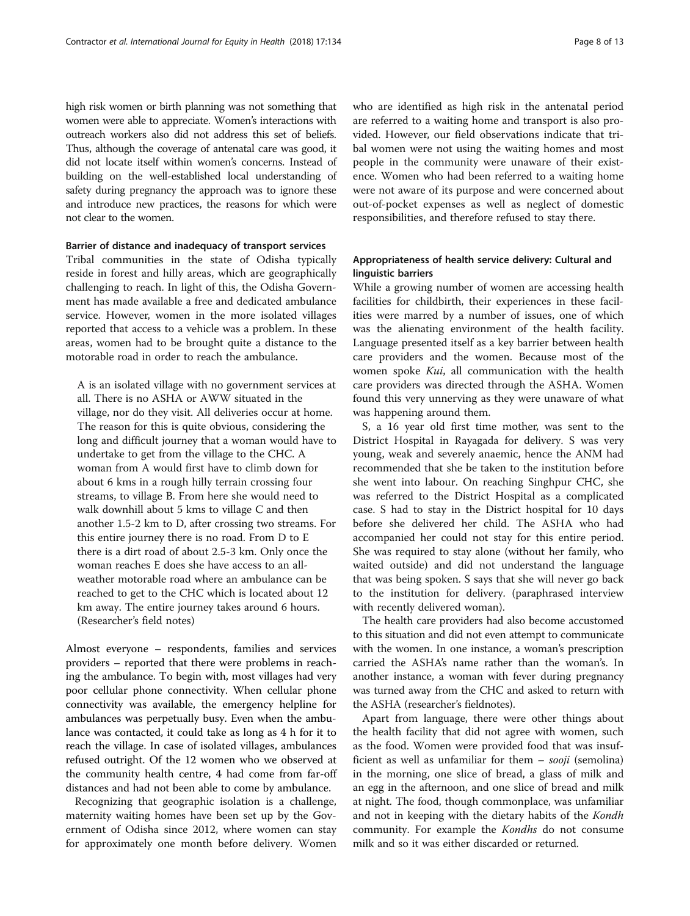high risk women or birth planning was not something that women were able to appreciate. Women's interactions with outreach workers also did not address this set of beliefs. Thus, although the coverage of antenatal care was good, it did not locate itself within women's concerns. Instead of building on the well-established local understanding of safety during pregnancy the approach was to ignore these and introduce new practices, the reasons for which were not clear to the women.

# Barrier of distance and inadequacy of transport services

Tribal communities in the state of Odisha typically reside in forest and hilly areas, which are geographically challenging to reach. In light of this, the Odisha Government has made available a free and dedicated ambulance service. However, women in the more isolated villages reported that access to a vehicle was a problem. In these areas, women had to be brought quite a distance to the motorable road in order to reach the ambulance.

A is an isolated village with no government services at all. There is no ASHA or AWW situated in the village, nor do they visit. All deliveries occur at home. The reason for this is quite obvious, considering the long and difficult journey that a woman would have to undertake to get from the village to the CHC. A woman from A would first have to climb down for about 6 kms in a rough hilly terrain crossing four streams, to village B. From here she would need to walk downhill about 5 kms to village C and then another 1.5-2 km to D, after crossing two streams. For this entire journey there is no road. From D to E there is a dirt road of about 2.5-3 km. Only once the woman reaches E does she have access to an allweather motorable road where an ambulance can be reached to get to the CHC which is located about 12 km away. The entire journey takes around 6 hours. (Researcher's field notes)

Almost everyone – respondents, families and services providers – reported that there were problems in reaching the ambulance. To begin with, most villages had very poor cellular phone connectivity. When cellular phone connectivity was available, the emergency helpline for ambulances was perpetually busy. Even when the ambulance was contacted, it could take as long as 4 h for it to reach the village. In case of isolated villages, ambulances refused outright. Of the 12 women who we observed at the community health centre, 4 had come from far-off distances and had not been able to come by ambulance.

Recognizing that geographic isolation is a challenge, maternity waiting homes have been set up by the Government of Odisha since 2012, where women can stay for approximately one month before delivery. Women who are identified as high risk in the antenatal period are referred to a waiting home and transport is also provided. However, our field observations indicate that tribal women were not using the waiting homes and most people in the community were unaware of their existence. Women who had been referred to a waiting home were not aware of its purpose and were concerned about out-of-pocket expenses as well as neglect of domestic responsibilities, and therefore refused to stay there.

# Appropriateness of health service delivery: Cultural and linguistic barriers

While a growing number of women are accessing health facilities for childbirth, their experiences in these facilities were marred by a number of issues, one of which was the alienating environment of the health facility. Language presented itself as a key barrier between health care providers and the women. Because most of the women spoke Kui, all communication with the health care providers was directed through the ASHA. Women found this very unnerving as they were unaware of what was happening around them.

S, a 16 year old first time mother, was sent to the District Hospital in Rayagada for delivery. S was very young, weak and severely anaemic, hence the ANM had recommended that she be taken to the institution before she went into labour. On reaching Singhpur CHC, she was referred to the District Hospital as a complicated case. S had to stay in the District hospital for 10 days before she delivered her child. The ASHA who had accompanied her could not stay for this entire period. She was required to stay alone (without her family, who waited outside) and did not understand the language that was being spoken. S says that she will never go back to the institution for delivery. (paraphrased interview with recently delivered woman).

The health care providers had also become accustomed to this situation and did not even attempt to communicate with the women. In one instance, a woman's prescription carried the ASHA's name rather than the woman's. In another instance, a woman with fever during pregnancy was turned away from the CHC and asked to return with the ASHA (researcher's fieldnotes).

Apart from language, there were other things about the health facility that did not agree with women, such as the food. Women were provided food that was insufficient as well as unfamiliar for them – *sooji* (semolina) in the morning, one slice of bread, a glass of milk and an egg in the afternoon, and one slice of bread and milk at night. The food, though commonplace, was unfamiliar and not in keeping with the dietary habits of the Kondh community. For example the Kondhs do not consume milk and so it was either discarded or returned.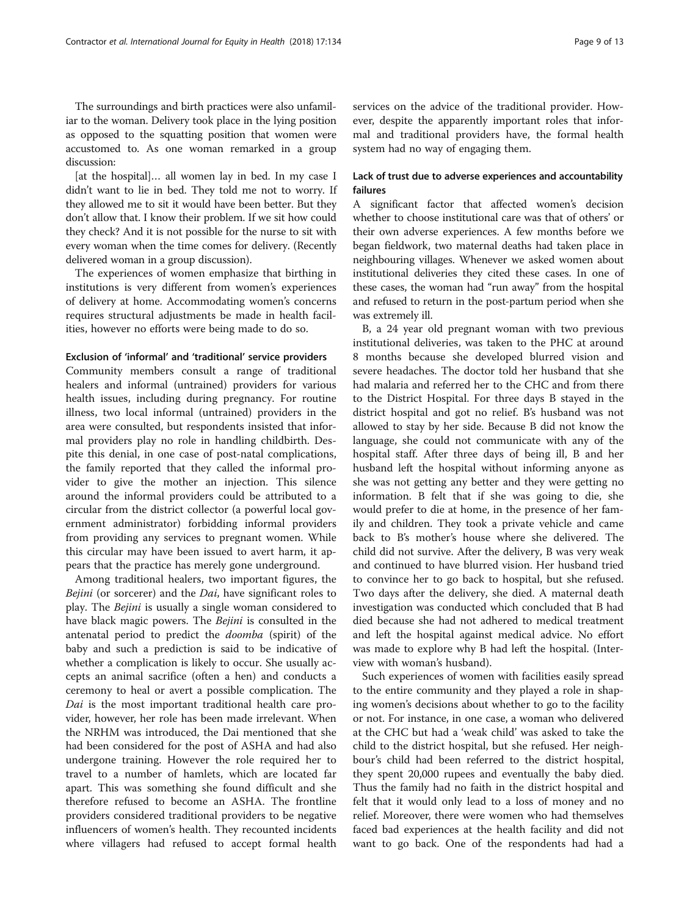The surroundings and birth practices were also unfamiliar to the woman. Delivery took place in the lying position as opposed to the squatting position that women were accustomed to. As one woman remarked in a group discussion:

[at the hospital]… all women lay in bed. In my case I didn't want to lie in bed. They told me not to worry. If they allowed me to sit it would have been better. But they don't allow that. I know their problem. If we sit how could they check? And it is not possible for the nurse to sit with every woman when the time comes for delivery. (Recently delivered woman in a group discussion).

The experiences of women emphasize that birthing in institutions is very different from women's experiences of delivery at home. Accommodating women's concerns requires structural adjustments be made in health facilities, however no efforts were being made to do so.

#### Exclusion of 'informal' and 'traditional' service providers

Community members consult a range of traditional healers and informal (untrained) providers for various health issues, including during pregnancy. For routine illness, two local informal (untrained) providers in the area were consulted, but respondents insisted that informal providers play no role in handling childbirth. Despite this denial, in one case of post-natal complications, the family reported that they called the informal provider to give the mother an injection. This silence around the informal providers could be attributed to a circular from the district collector (a powerful local government administrator) forbidding informal providers from providing any services to pregnant women. While this circular may have been issued to avert harm, it appears that the practice has merely gone underground.

Among traditional healers, two important figures, the Bejini (or sorcerer) and the Dai, have significant roles to play. The Bejini is usually a single woman considered to have black magic powers. The Bejini is consulted in the antenatal period to predict the doomba (spirit) of the baby and such a prediction is said to be indicative of whether a complication is likely to occur. She usually accepts an animal sacrifice (often a hen) and conducts a ceremony to heal or avert a possible complication. The Dai is the most important traditional health care provider, however, her role has been made irrelevant. When the NRHM was introduced, the Dai mentioned that she had been considered for the post of ASHA and had also undergone training. However the role required her to travel to a number of hamlets, which are located far apart. This was something she found difficult and she therefore refused to become an ASHA. The frontline providers considered traditional providers to be negative influencers of women's health. They recounted incidents where villagers had refused to accept formal health

services on the advice of the traditional provider. However, despite the apparently important roles that informal and traditional providers have, the formal health system had no way of engaging them.

# Lack of trust due to adverse experiences and accountability failures

A significant factor that affected women's decision whether to choose institutional care was that of others' or their own adverse experiences. A few months before we began fieldwork, two maternal deaths had taken place in neighbouring villages. Whenever we asked women about institutional deliveries they cited these cases. In one of these cases, the woman had "run away" from the hospital and refused to return in the post-partum period when she was extremely ill.

B, a 24 year old pregnant woman with two previous institutional deliveries, was taken to the PHC at around 8 months because she developed blurred vision and severe headaches. The doctor told her husband that she had malaria and referred her to the CHC and from there to the District Hospital. For three days B stayed in the district hospital and got no relief. B's husband was not allowed to stay by her side. Because B did not know the language, she could not communicate with any of the hospital staff. After three days of being ill, B and her husband left the hospital without informing anyone as she was not getting any better and they were getting no information. B felt that if she was going to die, she would prefer to die at home, in the presence of her family and children. They took a private vehicle and came back to B's mother's house where she delivered. The child did not survive. After the delivery, B was very weak and continued to have blurred vision. Her husband tried to convince her to go back to hospital, but she refused. Two days after the delivery, she died. A maternal death investigation was conducted which concluded that B had died because she had not adhered to medical treatment and left the hospital against medical advice. No effort was made to explore why B had left the hospital. (Interview with woman's husband).

Such experiences of women with facilities easily spread to the entire community and they played a role in shaping women's decisions about whether to go to the facility or not. For instance, in one case, a woman who delivered at the CHC but had a 'weak child' was asked to take the child to the district hospital, but she refused. Her neighbour's child had been referred to the district hospital, they spent 20,000 rupees and eventually the baby died. Thus the family had no faith in the district hospital and felt that it would only lead to a loss of money and no relief. Moreover, there were women who had themselves faced bad experiences at the health facility and did not want to go back. One of the respondents had had a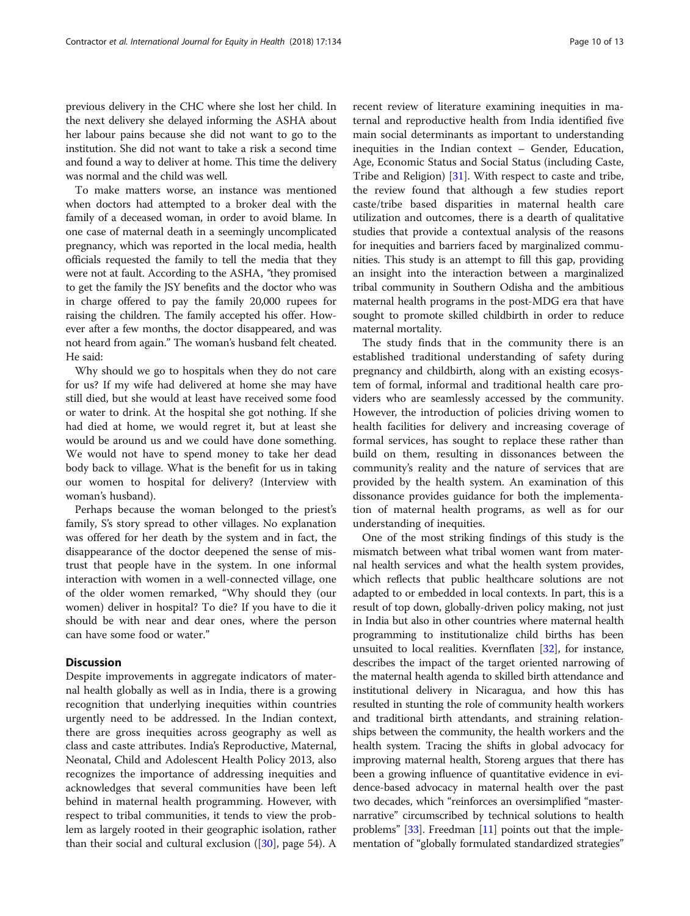previous delivery in the CHC where she lost her child. In the next delivery she delayed informing the ASHA about her labour pains because she did not want to go to the institution. She did not want to take a risk a second time and found a way to deliver at home. This time the delivery was normal and the child was well.

To make matters worse, an instance was mentioned when doctors had attempted to a broker deal with the family of a deceased woman, in order to avoid blame. In one case of maternal death in a seemingly uncomplicated pregnancy, which was reported in the local media, health officials requested the family to tell the media that they were not at fault. According to the ASHA, "they promised to get the family the JSY benefits and the doctor who was in charge offered to pay the family 20,000 rupees for raising the children. The family accepted his offer. However after a few months, the doctor disappeared, and was not heard from again." The woman's husband felt cheated. He said:

Why should we go to hospitals when they do not care for us? If my wife had delivered at home she may have still died, but she would at least have received some food or water to drink. At the hospital she got nothing. If she had died at home, we would regret it, but at least she would be around us and we could have done something. We would not have to spend money to take her dead body back to village. What is the benefit for us in taking our women to hospital for delivery? (Interview with woman's husband).

Perhaps because the woman belonged to the priest's family, S's story spread to other villages. No explanation was offered for her death by the system and in fact, the disappearance of the doctor deepened the sense of mistrust that people have in the system. In one informal interaction with women in a well-connected village, one of the older women remarked, "Why should they (our women) deliver in hospital? To die? If you have to die it should be with near and dear ones, where the person can have some food or water."

# **Discussion**

Despite improvements in aggregate indicators of maternal health globally as well as in India, there is a growing recognition that underlying inequities within countries urgently need to be addressed. In the Indian context, there are gross inequities across geography as well as class and caste attributes. India's Reproductive, Maternal, Neonatal, Child and Adolescent Health Policy 2013, also recognizes the importance of addressing inequities and acknowledges that several communities have been left behind in maternal health programming. However, with respect to tribal communities, it tends to view the problem as largely rooted in their geographic isolation, rather than their social and cultural exclusion  $([30]$  $([30]$ , page 54). A

recent review of literature examining inequities in maternal and reproductive health from India identified five main social determinants as important to understanding inequities in the Indian context – Gender, Education, Age, Economic Status and Social Status (including Caste, Tribe and Religion) [[31\]](#page-12-0). With respect to caste and tribe, the review found that although a few studies report caste/tribe based disparities in maternal health care utilization and outcomes, there is a dearth of qualitative studies that provide a contextual analysis of the reasons for inequities and barriers faced by marginalized communities. This study is an attempt to fill this gap, providing an insight into the interaction between a marginalized tribal community in Southern Odisha and the ambitious maternal health programs in the post-MDG era that have sought to promote skilled childbirth in order to reduce maternal mortality.

The study finds that in the community there is an established traditional understanding of safety during pregnancy and childbirth, along with an existing ecosystem of formal, informal and traditional health care providers who are seamlessly accessed by the community. However, the introduction of policies driving women to health facilities for delivery and increasing coverage of formal services, has sought to replace these rather than build on them, resulting in dissonances between the community's reality and the nature of services that are provided by the health system. An examination of this dissonance provides guidance for both the implementation of maternal health programs, as well as for our understanding of inequities.

One of the most striking findings of this study is the mismatch between what tribal women want from maternal health services and what the health system provides, which reflects that public healthcare solutions are not adapted to or embedded in local contexts. In part, this is a result of top down, globally-driven policy making, not just in India but also in other countries where maternal health programming to institutionalize child births has been unsuited to local realities. Kvernflaten [[32\]](#page-12-0), for instance, describes the impact of the target oriented narrowing of the maternal health agenda to skilled birth attendance and institutional delivery in Nicaragua, and how this has resulted in stunting the role of community health workers and traditional birth attendants, and straining relationships between the community, the health workers and the health system. Tracing the shifts in global advocacy for improving maternal health, Storeng argues that there has been a growing influence of quantitative evidence in evidence-based advocacy in maternal health over the past two decades, which "reinforces an oversimplified "masternarrative" circumscribed by technical solutions to health problems" [\[33\]](#page-12-0). Freedman [[11](#page-12-0)] points out that the implementation of "globally formulated standardized strategies"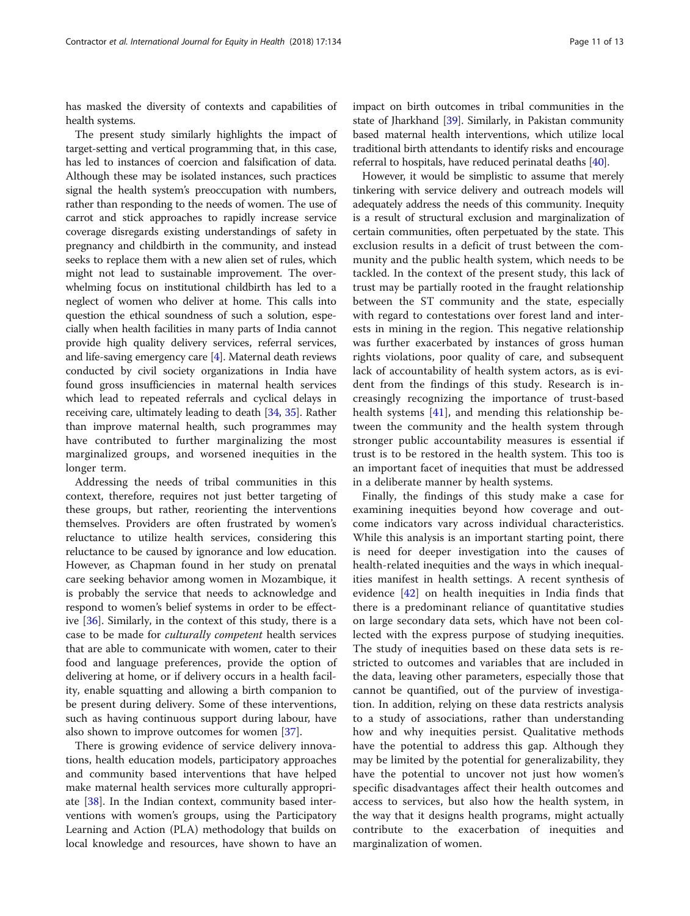has masked the diversity of contexts and capabilities of health systems.

The present study similarly highlights the impact of target-setting and vertical programming that, in this case, has led to instances of coercion and falsification of data. Although these may be isolated instances, such practices signal the health system's preoccupation with numbers, rather than responding to the needs of women. The use of carrot and stick approaches to rapidly increase service coverage disregards existing understandings of safety in pregnancy and childbirth in the community, and instead seeks to replace them with a new alien set of rules, which might not lead to sustainable improvement. The overwhelming focus on institutional childbirth has led to a neglect of women who deliver at home. This calls into question the ethical soundness of such a solution, especially when health facilities in many parts of India cannot provide high quality delivery services, referral services, and life-saving emergency care [[4\]](#page-11-0). Maternal death reviews conducted by civil society organizations in India have found gross insufficiencies in maternal health services which lead to repeated referrals and cyclical delays in receiving care, ultimately leading to death [\[34,](#page-12-0) [35\]](#page-12-0). Rather than improve maternal health, such programmes may have contributed to further marginalizing the most marginalized groups, and worsened inequities in the longer term.

Addressing the needs of tribal communities in this context, therefore, requires not just better targeting of these groups, but rather, reorienting the interventions themselves. Providers are often frustrated by women's reluctance to utilize health services, considering this reluctance to be caused by ignorance and low education. However, as Chapman found in her study on prenatal care seeking behavior among women in Mozambique, it is probably the service that needs to acknowledge and respond to women's belief systems in order to be effective [[36](#page-12-0)]. Similarly, in the context of this study, there is a case to be made for culturally competent health services that are able to communicate with women, cater to their food and language preferences, provide the option of delivering at home, or if delivery occurs in a health facility, enable squatting and allowing a birth companion to be present during delivery. Some of these interventions, such as having continuous support during labour, have also shown to improve outcomes for women [[37\]](#page-12-0).

There is growing evidence of service delivery innovations, health education models, participatory approaches and community based interventions that have helped make maternal health services more culturally appropriate [[38](#page-12-0)]. In the Indian context, community based interventions with women's groups, using the Participatory Learning and Action (PLA) methodology that builds on local knowledge and resources, have shown to have an impact on birth outcomes in tribal communities in the state of Jharkhand [\[39](#page-12-0)]. Similarly, in Pakistan community based maternal health interventions, which utilize local traditional birth attendants to identify risks and encourage referral to hospitals, have reduced perinatal deaths [[40](#page-12-0)].

However, it would be simplistic to assume that merely tinkering with service delivery and outreach models will adequately address the needs of this community. Inequity is a result of structural exclusion and marginalization of certain communities, often perpetuated by the state. This exclusion results in a deficit of trust between the community and the public health system, which needs to be tackled. In the context of the present study, this lack of trust may be partially rooted in the fraught relationship between the ST community and the state, especially with regard to contestations over forest land and interests in mining in the region. This negative relationship was further exacerbated by instances of gross human rights violations, poor quality of care, and subsequent lack of accountability of health system actors, as is evident from the findings of this study. Research is increasingly recognizing the importance of trust-based health systems [[41\]](#page-12-0), and mending this relationship between the community and the health system through stronger public accountability measures is essential if trust is to be restored in the health system. This too is an important facet of inequities that must be addressed in a deliberate manner by health systems.

Finally, the findings of this study make a case for examining inequities beyond how coverage and outcome indicators vary across individual characteristics. While this analysis is an important starting point, there is need for deeper investigation into the causes of health-related inequities and the ways in which inequalities manifest in health settings. A recent synthesis of evidence [[42\]](#page-12-0) on health inequities in India finds that there is a predominant reliance of quantitative studies on large secondary data sets, which have not been collected with the express purpose of studying inequities. The study of inequities based on these data sets is restricted to outcomes and variables that are included in the data, leaving other parameters, especially those that cannot be quantified, out of the purview of investigation. In addition, relying on these data restricts analysis to a study of associations, rather than understanding how and why inequities persist. Qualitative methods have the potential to address this gap. Although they may be limited by the potential for generalizability, they have the potential to uncover not just how women's specific disadvantages affect their health outcomes and access to services, but also how the health system, in the way that it designs health programs, might actually contribute to the exacerbation of inequities and marginalization of women.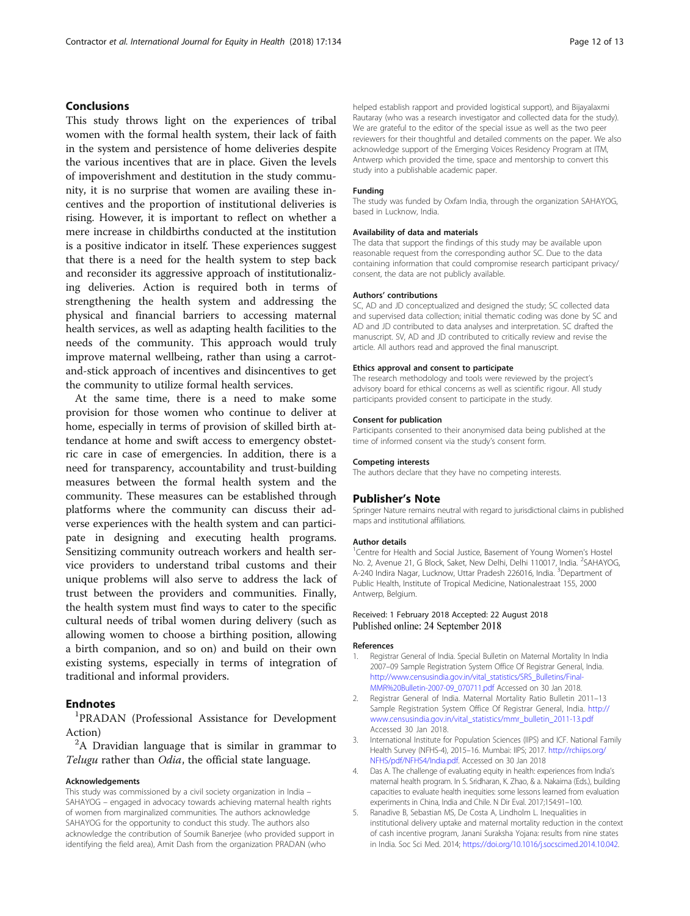# <span id="page-11-0"></span>Conclusions

This study throws light on the experiences of tribal women with the formal health system, their lack of faith in the system and persistence of home deliveries despite the various incentives that are in place. Given the levels of impoverishment and destitution in the study community, it is no surprise that women are availing these incentives and the proportion of institutional deliveries is rising. However, it is important to reflect on whether a mere increase in childbirths conducted at the institution is a positive indicator in itself. These experiences suggest that there is a need for the health system to step back and reconsider its aggressive approach of institutionalizing deliveries. Action is required both in terms of strengthening the health system and addressing the physical and financial barriers to accessing maternal health services, as well as adapting health facilities to the needs of the community. This approach would truly improve maternal wellbeing, rather than using a carrotand-stick approach of incentives and disincentives to get the community to utilize formal health services.

At the same time, there is a need to make some provision for those women who continue to deliver at home, especially in terms of provision of skilled birth attendance at home and swift access to emergency obstetric care in case of emergencies. In addition, there is a need for transparency, accountability and trust-building measures between the formal health system and the community. These measures can be established through platforms where the community can discuss their adverse experiences with the health system and can participate in designing and executing health programs. Sensitizing community outreach workers and health service providers to understand tribal customs and their unique problems will also serve to address the lack of trust between the providers and communities. Finally, the health system must find ways to cater to the specific cultural needs of tribal women during delivery (such as allowing women to choose a birthing position, allowing a birth companion, and so on) and build on their own existing systems, especially in terms of integration of traditional and informal providers.

# **Endnotes**

<sup>1</sup>PRADAN (Professional Assistance for Development Action)

 ${}^{2}$ A Dravidian language that is similar in grammar to Telugu rather than Odia, the official state language.

# Acknowledgements

This study was commissioned by a civil society organization in India – SAHAYOG – engaged in advocacy towards achieving maternal health rights of women from marginalized communities. The authors acknowledge SAHAYOG for the opportunity to conduct this study. The authors also acknowledge the contribution of Soumik Banerjee (who provided support in identifying the field area), Amit Dash from the organization PRADAN (who

helped establish rapport and provided logistical support), and Bijayalaxmi Rautaray (who was a research investigator and collected data for the study). We are grateful to the editor of the special issue as well as the two peer reviewers for their thoughtful and detailed comments on the paper. We also acknowledge support of the Emerging Voices Residency Program at ITM, Antwerp which provided the time, space and mentorship to convert this study into a publishable academic paper.

#### Funding

The study was funded by Oxfam India, through the organization SAHAYOG, based in Lucknow, India.

#### Availability of data and materials

The data that support the findings of this study may be available upon reasonable request from the corresponding author SC. Due to the data containing information that could compromise research participant privacy/ consent, the data are not publicly available.

#### Authors' contributions

SC, AD and JD conceptualized and designed the study; SC collected data and supervised data collection; initial thematic coding was done by SC and AD and JD contributed to data analyses and interpretation. SC drafted the manuscript. SV, AD and JD contributed to critically review and revise the article. All authors read and approved the final manuscript.

#### Ethics approval and consent to participate

The research methodology and tools were reviewed by the project's advisory board for ethical concerns as well as scientific rigour. All study participants provided consent to participate in the study.

#### Consent for publication

Participants consented to their anonymised data being published at the time of informed consent via the study's consent form.

#### Competing interests

The authors declare that they have no competing interests.

#### Publisher's Note

Springer Nature remains neutral with regard to jurisdictional claims in published maps and institutional affiliations.

#### Author details

<sup>1</sup> Centre for Health and Social Justice, Basement of Young Women's Hostel No. 2, Avenue 21, G Block, Saket, New Delhi, Delhi 110017, India. <sup>2</sup>SAHAYOG A-240 Indira Nagar, Lucknow, Uttar Pradesh 226016, India. <sup>3</sup>Department of Public Health, Institute of Tropical Medicine, Nationalestraat 155, 2000 Antwerp, Belgium.

# Received: 1 February 2018 Accepted: 22 August 2018 Published online: 24 September 2018

#### References

- Registrar General of India. Special Bulletin on Maternal Mortality In India 2007–09 Sample Registration System Office Of Registrar General, India. [http://www.censusindia.gov.in/vital\\_statistics/SRS\\_Bulletins/Final-](http://www.censusindia.gov.in/vital_statistics/SRS_Bulletins/Final-MMR%20Bulletin-2007-09_070711.pdf)[MMR%20Bulletin-2007-09\\_070711.pdf](http://www.censusindia.gov.in/vital_statistics/SRS_Bulletins/Final-MMR%20Bulletin-2007-09_070711.pdf) Accessed on 30 Jan 2018.
- 2. Registrar General of India. Maternal Mortality Ratio Bulletin 2011–13 Sample Registration System Office Of Registrar General, India. [http://](http://www.censusindia.gov.in/vital_statistics/mmr_bulletin_2011-13.pdf) [www.censusindia.gov.in/vital\\_statistics/mmr\\_bulletin\\_2011-13.pdf](http://www.censusindia.gov.in/vital_statistics/mmr_bulletin_2011-13.pdf) Accessed 30 Jan 2018.
- 3. International Institute for Population Sciences (IIPS) and ICF. National Family Health Survey (NFHS-4), 2015–16. Mumbai: IIPS; 2017. [http://rchiips.org/](http://rchiips.org/NFHS/pdf/NFHS4/India.pdf) [NFHS/pdf/NFHS4/India.pdf.](http://rchiips.org/NFHS/pdf/NFHS4/India.pdf) Accessed on 30 Jan 2018
- 4. Das A. The challenge of evaluating equity in health: experiences from India's maternal health program. In S. Sridharan, K. Zhao, & a. Nakaima (Eds.), building capacities to evaluate health inequities: some lessons learned from evaluation experiments in China, India and Chile. N Dir Eval. 2017;154:91–100.
- 5. Ranadive B, Sebastian MS, De Costa A, Lindholm L. Inequalities in institutional delivery uptake and maternal mortality reduction in the context of cash incentive program, Janani Suraksha Yojana: results from nine states in India. Soc Sci Med. 2014; [https://doi.org/10.1016/j.socscimed.2014.10.042.](https://doi.org/10.1016/j.socscimed.2014.10.042)